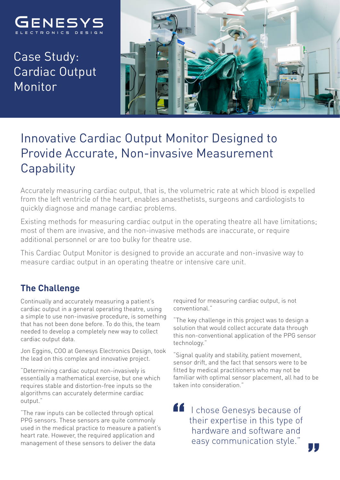

Case Study: Cardiac Output Monitor



## Innovative Cardiac Output Monitor Designed to Provide Accurate, Non-invasive Measurement **Capability**

Accurately measuring cardiac output, that is, the volumetric rate at which blood is expelled from the left ventricle of the heart, enables anaesthetists, surgeons and cardiologists to quickly diagnose and manage cardiac problems.

Existing methods for measuring cardiac output in the operating theatre all have limitations; most of them are invasive, and the non-invasive methods are inaccurate, or require additional personnel or are too bulky for theatre use.

This Cardiac Output Monitor is designed to provide an accurate and non-invasive way to measure cardiac output in an operating theatre or intensive care unit.

## **The Challenge**

Continually and accurately measuring a patient's cardiac output in a general operating theatre, using a simple to use non-invasive procedure, is something that has not been done before. To do this, the team needed to develop a completely new way to collect cardiac output data.

Jon Eggins, COO at Genesys Electronics Design, took the lead on this complex and innovative project.

"Determining cardiac output non-invasively is essentially a mathematical exercise, but one which requires stable and distortion-free inputs so the algorithms can accurately determine cardiac output."

"The raw inputs can be collected through optical PPG sensors. These sensors are quite commonly used in the medical practice to measure a patient's heart rate. However, the required application and management of these sensors to deliver the data

required for measuring cardiac output, is not conventional."

"The key challenge in this project was to design a solution that would collect accurate data through this non-conventional application of the PPG sensor technology."

"Signal quality and stability, patient movement, sensor drift, and the fact that sensors were to be fitted by medical practitioners who may not be familiar with optimal sensor placement, all had to be taken into consideration."

44 I chose Genesys because of their expertise in this type of hardware and software and easy communication style."